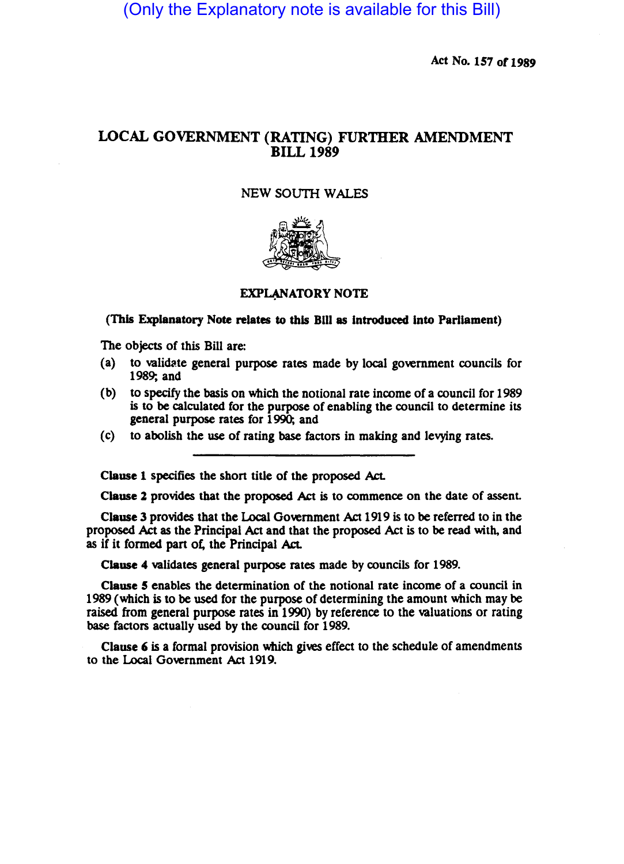(Only the Explanatory note is available for this Bill)

Act No. 157 or 1989

# LOCAL GOVERNMENT (RATING) FURTHER AMENDMENT BILL 1989

### NEW *soum* WALES



#### EXPLANATORY NOTE

#### (This Explanatory Note relates to this Bill as introduced into Parliament)

The objects of this Bill are:

- (a) to validate general purpose rates made by local government councils for 1989; and
- (b) to specify the basis on which the notional rate income of a council for 1989 is to be calculated for the purpose of enabling the council to determine its general purpose rates for 1990; and
- (c) to abolish the use of rating base factors in making and levying rates.

Clause 1 specifies the shon title of the proposed Act.

Clause 2 provides that the proposed Act is to commence on the date of assent.

Clause 3 provides that the Local Government Act 1919 is to be referred to in the proposed Act as the Principal Act and that the proposed Act is to be read with, and as if it formed part of, the Principal Act.

Clause 4 validates general purpose rates made by councils for 1989.

Clause *5* enables the determination of the notional rate income of a council in 1989 (which is to be used for the purpose of determining the amount which may be raised from general purpose rates in 1990) by reference to the valuations or rating base factors actually used by the council for 1989.

Clause 6 is a formal provision which gives effect to the schedule of amendments to the Local Government Act 1919.